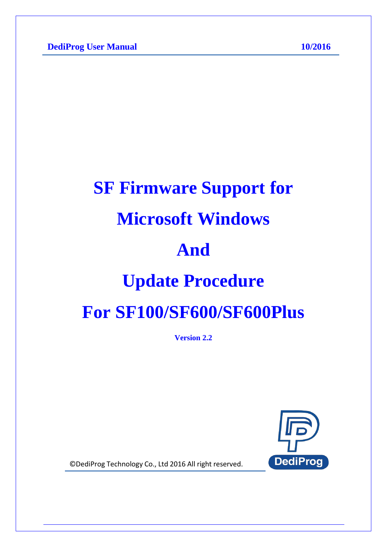# **SF Firmware Support for Microsoft Windows And Update Procedure For SF100/SF600/SF600Plus**

**Version 2.2**



© DediProg Technology Co., Ltd 2016 All right reserved.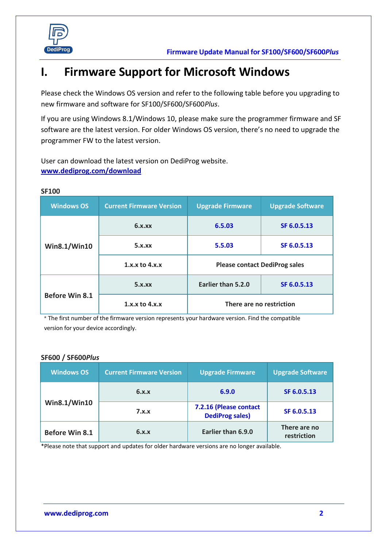

## **I. Firmware Support for Microsoft Windows**

Please check the Windows OS version and refer to the following table before you upgrading to new firmware and software for SF100/SF600/SF600*Plus*.

If you are using Windows 8.1/Windows 10, please make sure the programmer firmware and SF software are the latest version. For older Windows OS version, there's no need to upgrade the programmer FW to the latest version.

User can download the latest version on DediProg website. **[www.dediprog.com/download](http://www.dediprog.com/download)**

| <b>Windows OS</b>     | <b>Current Firmware Version</b> | <b>Upgrade Firmware</b>              | <b>Upgrade Software</b> |
|-----------------------|---------------------------------|--------------------------------------|-------------------------|
|                       | 6.x.xx                          | 6.5.03                               | SF 6.0.5.13             |
| Win8.1/Win10          | 5.x.xx                          | 5.5.03                               | SF 6.0.5.13             |
|                       | $1.x.x$ to $4.x.x$              | <b>Please contact DediProg sales</b> |                         |
| <b>Before Win 8.1</b> | 5.x.xx                          | Earlier than 5.2.0                   | SF 6.0.5.13             |
|                       | $1.x.x$ to $4.x.x$              | There are no restriction             |                         |

**SF100**

\* The first number of the firmware version represents your hardware version. Find the compatible version for your device accordingly.

#### **SF600 / SF600***Plus*

| <b>Windows OS</b>     | <b>Current Firmware Version</b> | <b>Upgrade Firmware</b>                          | <b>Upgrade Software</b>     |
|-----------------------|---------------------------------|--------------------------------------------------|-----------------------------|
|                       | 6.x.x                           | 6.9.0                                            | SF 6.0.5.13                 |
| Win8.1/Win10          | 7.x.x                           | 7.2.16 (Please contact<br><b>DediProg sales)</b> | SF 6.0.5.13                 |
| <b>Before Win 8.1</b> | 6.x.x                           | Earlier than 6.9.0                               | There are no<br>restriction |

\*Please note that support and updates for older hardware versions are no longer available.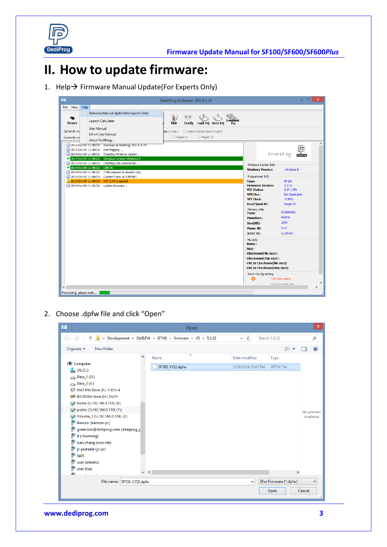

## **II. How to update firmware:**

1. Help $\rightarrow$  Firmware Manual Update(For Experts Only)



2. Choose .dpfw file and click "Open"

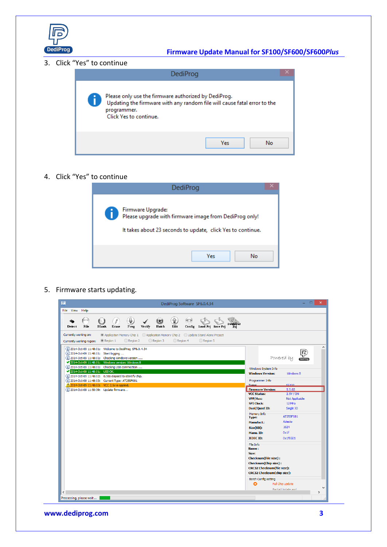

#### **Firmware Update Manual for SF100/SF600/SF600***Plus*

3. Click "Yes" to continue

| DediProg                                                                                                                                                                  |  |
|---------------------------------------------------------------------------------------------------------------------------------------------------------------------------|--|
| Please only use the firmware authorized by DediProg.<br>Updating the firmware with any random file will cause fatal error to the<br>programmer.<br>Click Yes to continue. |  |
| Yes<br>No                                                                                                                                                                 |  |

4. Click "Yes" to continue



5. Firmware starts updating.

| 000<br>$\mathcal{J}$<br>$\infty$<br>Download<br>Verify<br>File<br><b>Blank</b><br><b>Batch</b><br>Edit<br>Config Load Prj Save Prj<br>Detect<br>Erase<br>Prog<br>Pri<br>Currently working on:<br>● Application Memory Chip 1 ● Application Memory Chip 2 ● Update Stand Alone Project<br>Region 5<br>Region 2<br>Region 3<br>Region 4<br>Region 1<br>Currently working region:<br>P<br>(i) 2014-Oct-09 11:48:01: Start logging<br>Powered by<br>2014-Oct-09 11:48:01: Windows version: Windows 8<br>(i) 2014-Oct-09 11:48:01: Checking USB connnection<br>Windows System Info<br>2014-Oct-09 11:48:01: USB OK.<br><b>Windows Version:</b><br>Windows 8<br>(i) 2014-Oct-09 11:48:02: 0.98s elapsed to identify chip.<br>Programmer Info<br>2014-Oct-09 11:48:03: VCC 2.5V is applied.<br>SE100<br>Tyne:<br><b>Firmware Version:</b><br>5.5.02<br><b>VCC Status:</b><br>2.5V / ON<br>VPP/Acc:<br>Not Applicable<br><b>SPI Clock:</b><br>12 MHz<br><b>Dual/Ouad IO:</b><br>Single IO<br>Memory Info<br>AT25SF081<br><b>Type:</b><br>Adesto<br>Manufact.:<br>1024<br>Size(KB):<br>0x1f<br>Manu. ID:<br>JEDEC ID:<br>0x1f8501<br>File Info<br>Name:<br>Size:<br>Checksum(File size):<br><b>Checksum(Chip size):</b><br><b>CRC32 Checksum(file size):</b> | File View<br>Help |  |  |
|-----------------------------------------------------------------------------------------------------------------------------------------------------------------------------------------------------------------------------------------------------------------------------------------------------------------------------------------------------------------------------------------------------------------------------------------------------------------------------------------------------------------------------------------------------------------------------------------------------------------------------------------------------------------------------------------------------------------------------------------------------------------------------------------------------------------------------------------------------------------------------------------------------------------------------------------------------------------------------------------------------------------------------------------------------------------------------------------------------------------------------------------------------------------------------------------------------------------------------------------------------|-------------------|--|--|
|                                                                                                                                                                                                                                                                                                                                                                                                                                                                                                                                                                                                                                                                                                                                                                                                                                                                                                                                                                                                                                                                                                                                                                                                                                                     | $\bigcirc$        |  |  |
| (i) 2014-Oct-09 11:48:01: Welcome to DediProg SF6.0.4.34<br>(i) 2014-Oct-09 11:48:01: Checking Windows version<br>(i) 2014-Oct-09 11:48:03: Current Type: AT25SF081<br>(i) 2014-Oct-09 11:50:39: Update firmware                                                                                                                                                                                                                                                                                                                                                                                                                                                                                                                                                                                                                                                                                                                                                                                                                                                                                                                                                                                                                                    |                   |  |  |
|                                                                                                                                                                                                                                                                                                                                                                                                                                                                                                                                                                                                                                                                                                                                                                                                                                                                                                                                                                                                                                                                                                                                                                                                                                                     |                   |  |  |
|                                                                                                                                                                                                                                                                                                                                                                                                                                                                                                                                                                                                                                                                                                                                                                                                                                                                                                                                                                                                                                                                                                                                                                                                                                                     |                   |  |  |
|                                                                                                                                                                                                                                                                                                                                                                                                                                                                                                                                                                                                                                                                                                                                                                                                                                                                                                                                                                                                                                                                                                                                                                                                                                                     |                   |  |  |
|                                                                                                                                                                                                                                                                                                                                                                                                                                                                                                                                                                                                                                                                                                                                                                                                                                                                                                                                                                                                                                                                                                                                                                                                                                                     |                   |  |  |
|                                                                                                                                                                                                                                                                                                                                                                                                                                                                                                                                                                                                                                                                                                                                                                                                                                                                                                                                                                                                                                                                                                                                                                                                                                                     |                   |  |  |
|                                                                                                                                                                                                                                                                                                                                                                                                                                                                                                                                                                                                                                                                                                                                                                                                                                                                                                                                                                                                                                                                                                                                                                                                                                                     |                   |  |  |
|                                                                                                                                                                                                                                                                                                                                                                                                                                                                                                                                                                                                                                                                                                                                                                                                                                                                                                                                                                                                                                                                                                                                                                                                                                                     |                   |  |  |
|                                                                                                                                                                                                                                                                                                                                                                                                                                                                                                                                                                                                                                                                                                                                                                                                                                                                                                                                                                                                                                                                                                                                                                                                                                                     |                   |  |  |
|                                                                                                                                                                                                                                                                                                                                                                                                                                                                                                                                                                                                                                                                                                                                                                                                                                                                                                                                                                                                                                                                                                                                                                                                                                                     |                   |  |  |
|                                                                                                                                                                                                                                                                                                                                                                                                                                                                                                                                                                                                                                                                                                                                                                                                                                                                                                                                                                                                                                                                                                                                                                                                                                                     |                   |  |  |
|                                                                                                                                                                                                                                                                                                                                                                                                                                                                                                                                                                                                                                                                                                                                                                                                                                                                                                                                                                                                                                                                                                                                                                                                                                                     |                   |  |  |
|                                                                                                                                                                                                                                                                                                                                                                                                                                                                                                                                                                                                                                                                                                                                                                                                                                                                                                                                                                                                                                                                                                                                                                                                                                                     |                   |  |  |
|                                                                                                                                                                                                                                                                                                                                                                                                                                                                                                                                                                                                                                                                                                                                                                                                                                                                                                                                                                                                                                                                                                                                                                                                                                                     |                   |  |  |
|                                                                                                                                                                                                                                                                                                                                                                                                                                                                                                                                                                                                                                                                                                                                                                                                                                                                                                                                                                                                                                                                                                                                                                                                                                                     |                   |  |  |
|                                                                                                                                                                                                                                                                                                                                                                                                                                                                                                                                                                                                                                                                                                                                                                                                                                                                                                                                                                                                                                                                                                                                                                                                                                                     |                   |  |  |
|                                                                                                                                                                                                                                                                                                                                                                                                                                                                                                                                                                                                                                                                                                                                                                                                                                                                                                                                                                                                                                                                                                                                                                                                                                                     |                   |  |  |
|                                                                                                                                                                                                                                                                                                                                                                                                                                                                                                                                                                                                                                                                                                                                                                                                                                                                                                                                                                                                                                                                                                                                                                                                                                                     |                   |  |  |
| <b>CRC32 Checksum(chip size):</b>                                                                                                                                                                                                                                                                                                                                                                                                                                                                                                                                                                                                                                                                                                                                                                                                                                                                                                                                                                                                                                                                                                                                                                                                                   |                   |  |  |
| <b>Batch Config setting</b><br>Θ<br>Full Chip update<br>Partial Lindate and                                                                                                                                                                                                                                                                                                                                                                                                                                                                                                                                                                                                                                                                                                                                                                                                                                                                                                                                                                                                                                                                                                                                                                         |                   |  |  |

**[www.dediprog.com](http://www.dediprog.com/) 3**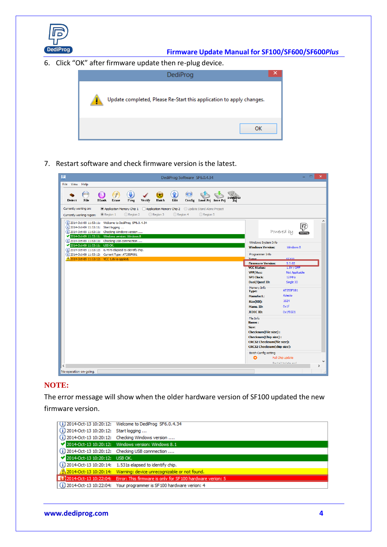

#### **Firmware Update Manual for SF100/SF600/SF600***Plus*

6. Click "OK" after firmware update then re-plug device.



7. Restart software and check firmware version is the latest.



#### **NOTE:**

The error message will show when the older hardware version of SF100 updated the new firmware version.

|                                           | (i) 2014-Oct-13 10:20:12: Welcome to DediProg SF6.0.4.34                            |
|-------------------------------------------|-------------------------------------------------------------------------------------|
| $(i)$ 2014-Oct-13 10:20:12: Start logging |                                                                                     |
|                                           | $(i)$ 2014-Oct-13 10:20:12: Checking Windows version                                |
|                                           | 2014-Oct-13 10:20:12: Windows version: Windows 8.1                                  |
|                                           | (i) 2014-Oct-13 10:20:12: Checking USB connnection                                  |
| 2014-Oct-13 10:20:12: USB OK.             |                                                                                     |
|                                           | $(i)$ 2014-Oct-13 10:20:14: 1.531s elapsed to identify chip.                        |
|                                           | 1.1 2014-Oct-13 10:20:14: Warning: device unrecognizable or not found.              |
|                                           | 1: 12014-Oct-13 10:22:04: Error: This firmware is only for SF100 hardware verion: 5 |
|                                           | $(i)$ 2014-Oct-13 10:22:04: Your programmer is SF100 hardware verion: 4             |
|                                           |                                                                                     |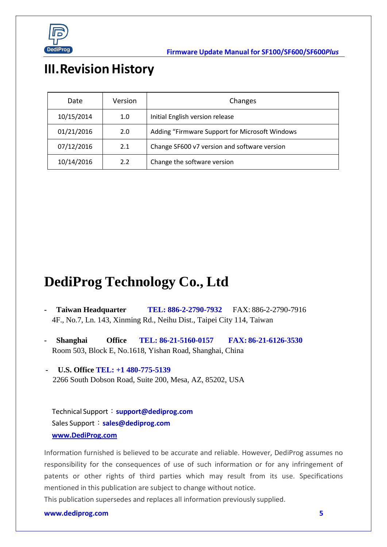

## **III.Revision History**

| Date       | Version | Changes                                        |
|------------|---------|------------------------------------------------|
| 10/15/2014 | 1.0     | Initial English version release                |
| 01/21/2016 | 2.0     | Adding "Firmware Support for Microsoft Windows |
| 07/12/2016 | 2.1     | Change SF600 v7 version and software version   |
| 10/14/2016 | 2.2     | Change the software version                    |

## **DediProg Technology Co., Ltd**

- **- Taiwan Headquarter TEL: 886-2-2790-7932** FAX: 886-2-2790-7916 4F., No.7, Ln. 143, Xinming Rd., Neihu Dist., Taipei City 114, Taiwan
- **- Shanghai Office TEL: 86-21-5160-0157 FAX: 86-21-6126-3530** Room 503, Block E, No.1618, Yishan Road, Shanghai, China
- **U.S. Office TEL: +1 480-775-5139** 2266 South Dobson Road, Suite 200, Mesa, AZ, 85202, USA

Technical Support:**[support@dediprog.com](mailto:support@dediprog.com)** Sales Support:**[sales@dediprog.com](mailto:sales@dediprog.com) [www.DediProg.com](http://www.dediprog.com/)**

Information furnished is believed to be accurate and reliable. However, DediProg assumes no responsibility for the consequences of use of such information or for any infringement of patents or other rights of third parties which may result from its use. Specifications mentioned in this publication are subject to change without notice.

This publication supersedes and replaces all information previously supplied.

#### **[www.dediprog.com](http://www.dediprog.com/) 5**